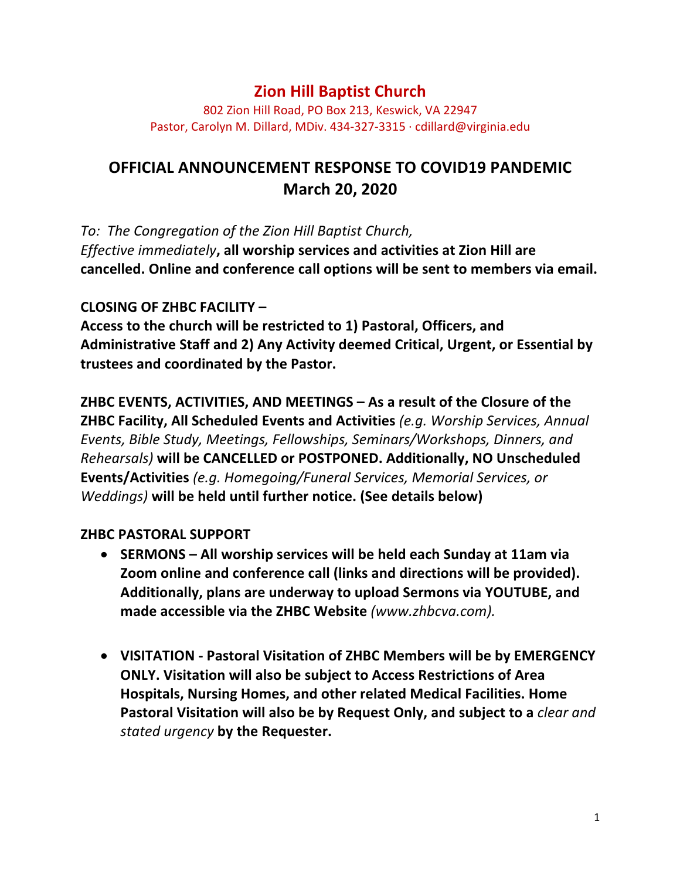## **Zion Hill Baptist Church**

802 Zion Hill Road, PO Box 213, Keswick, VA 22947 Pastor, Carolyn M. Dillard, MDiv. 434-327-3315 · cdillard@virginia.edu

# **OFFICIAL ANNOUNCEMENT RESPONSE TO COVID19 PANDEMIC March 20, 2020**

*To: The Congregation of the Zion Hill Baptist Church,*

*Effective immediately*, all worship services and activities at Zion Hill are cancelled. Online and conference call options will be sent to members via email.

#### **CLOSING OF ZHBC FACILITY –**

Access to the church will be restricted to 1) Pastoral, Officers, and **Administrative Staff and 2) Any Activity deemed Critical, Urgent, or Essential by**  trustees and coordinated by the Pastor.

**ZHBC EVENTS, ACTIVITIES, AND MEETINGS – As a result of the Closure of the ZHBC Facility, All Scheduled Events and Activities** (e.g. Worship Services, Annual *Events, Bible Study, Meetings, Fellowships, Seminars/Workshops, Dinners, and*  **Rehearsals)** will be CANCELLED or POSTPONED. Additionally, NO Unscheduled **Events/Activities** (e.g. Homegoing/Funeral Services, Memorial Services, or *Weddings)* will be held until further notice. (See details below)

#### **ZHBC PASTORAL SUPPORT**

- SERMONS All worship services will be held each Sunday at 11am via **Zoom online and conference call (links and directions will be provided).** Additionally, plans are underway to upload Sermons via YOUTUBE, and made accessible via the ZHBC Website (www.zhbcva.com).
- VISITATION Pastoral Visitation of ZHBC Members will be by EMERGENCY **ONLY.** Visitation will also be subject to Access Restrictions of Area **Hospitals, Nursing Homes, and other related Medical Facilities. Home Pastoral Visitation will also be by Request Only, and subject to a** *clear and stated urgency* **by the Requester.**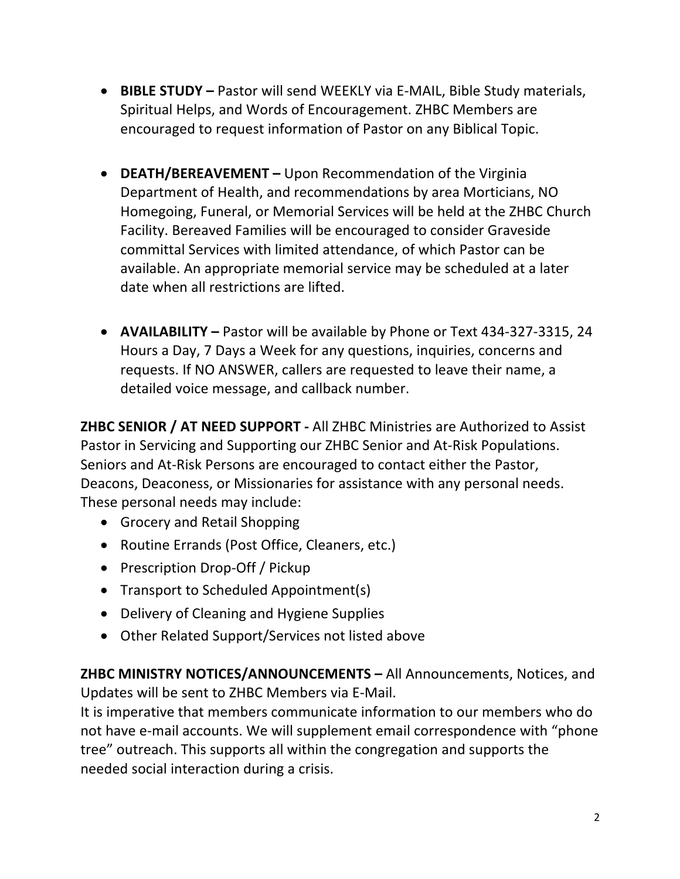- **BIBLE STUDY** Pastor will send WEEKLY via E-MAIL, Bible Study materials, Spiritual Helps, and Words of Encouragement. ZHBC Members are encouraged to request information of Pastor on any Biblical Topic.
- **DEATH/BEREAVEMENT** Upon Recommendation of the Virginia Department of Health, and recommendations by area Morticians, NO Homegoing, Funeral, or Memorial Services will be held at the ZHBC Church Facility. Bereaved Families will be encouraged to consider Graveside committal Services with limited attendance, of which Pastor can be available. An appropriate memorial service may be scheduled at a later date when all restrictions are lifted.
- **AVAILABILITY** Pastor will be available by Phone or Text 434-327-3315, 24 Hours a Day, 7 Days a Week for any questions, inquiries, concerns and requests. If NO ANSWER, callers are requested to leave their name, a detailed voice message, and callback number.

**ZHBC SENIOR / AT NEED SUPPORT - All ZHBC Ministries are Authorized to Assist** Pastor in Servicing and Supporting our ZHBC Senior and At-Risk Populations. Seniors and At-Risk Persons are encouraged to contact either the Pastor, Deacons, Deaconess, or Missionaries for assistance with any personal needs. These personal needs may include:

- Grocery and Retail Shopping
- Routine Errands (Post Office, Cleaners, etc.)
- Prescription Drop-Off / Pickup
- Transport to Scheduled Appointment(s)
- Delivery of Cleaning and Hygiene Supplies
- Other Related Support/Services not listed above

**ZHBC MINISTRY NOTICES/ANNOUNCEMENTS** – All Announcements, Notices, and Updates will be sent to ZHBC Members via E-Mail.

It is imperative that members communicate information to our members who do not have e-mail accounts. We will supplement email correspondence with "phone tree" outreach. This supports all within the congregation and supports the needed social interaction during a crisis.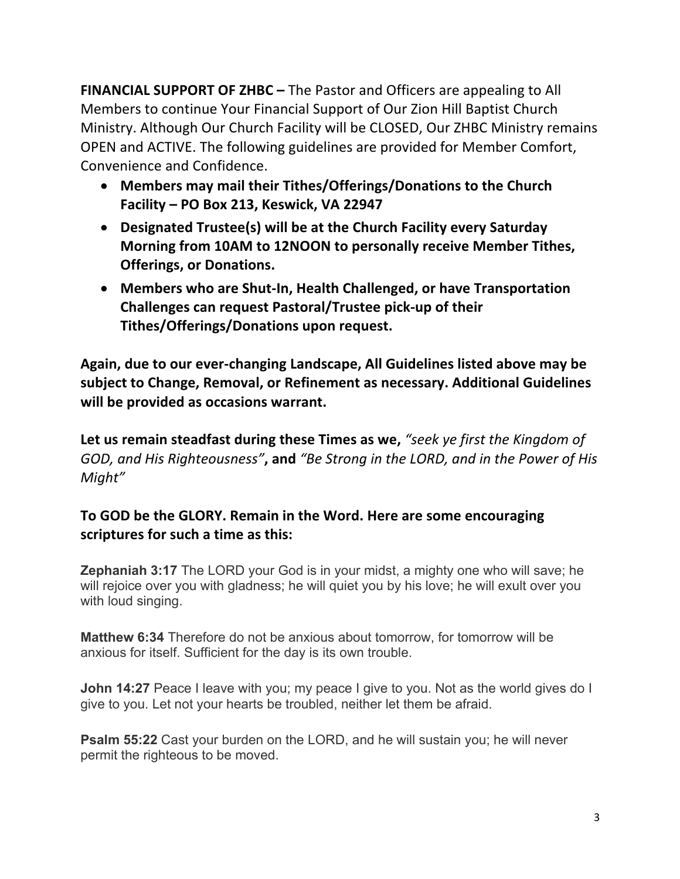**FINANCIAL SUPPORT OF ZHBC –** The Pastor and Officers are appealing to All Members to continue Your Financial Support of Our Zion Hill Baptist Church Ministry. Although Our Church Facility will be CLOSED, Our ZHBC Ministry remains OPEN and ACTIVE. The following guidelines are provided for Member Comfort, Convenience and Confidence.

- Members may mail their Tithes/Offerings/Donations to the Church Facility – PO Box 213, Keswick, VA 22947
- Designated Trustee(s) will be at the Church Facility every Saturday **Morning from 10AM to 12NOON to personally receive Member Tithes, Offerings, or Donations.**
- Members who are Shut-In, Health Challenged, or have Transportation **Challenges can request Pastoral/Trustee pick-up of their Tithes/Offerings/Donations upon request.**

Again, due to our ever-changing Landscape, All Guidelines listed above may be subject to Change, Removal, or Refinement as necessary. Additional Guidelines will be provided as occasions warrant.

Let us remain steadfast during these Times as we, "seek ye first the Kingdom of *GOD, and His Righteousness"*, and "*Be Strong in the LORD, and in the Power of His Might"* 

### To GOD be the GLORY. Remain in the Word. Here are some encouraging scriptures for such a time as this:

**Zephaniah 3:17** The LORD your God is in your midst, a mighty one who will save; he will rejoice over you with gladness; he will quiet you by his love; he will exult over you with loud singing.

**Matthew 6:34** Therefore do not be anxious about tomorrow, for tomorrow will be anxious for itself. Sufficient for the day is its own trouble.

**John 14:27** Peace I leave with you; my peace I give to you. Not as the world gives do I give to you. Let not your hearts be troubled, neither let them be afraid.

**Psalm 55:22** Cast your burden on the LORD, and he will sustain you; he will never permit the righteous to be moved.